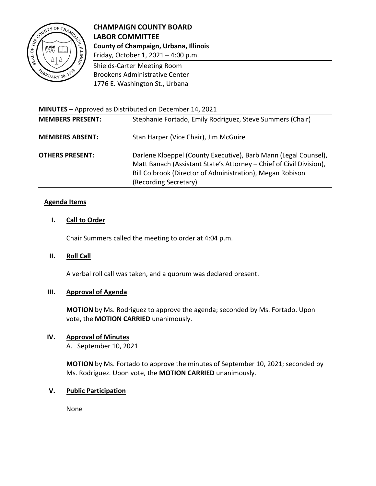

# **CHAMPAIGN COUNTY BOARD LABOR COMMITTEE County of Champaign, Urbana, Illinois** Friday, October 1, 2021 – 4:00 p.m.

Shields-Carter Meeting Room Brookens Administrative Center

1776 E. Washington St., Urbana

**MINUTES** – Approved as Distributed on December 14, 2021

| <b>MEMBERS PRESENT:</b> | Stephanie Fortado, Emily Rodriguez, Steve Summers (Chair)                                                                                                                                                                    |
|-------------------------|------------------------------------------------------------------------------------------------------------------------------------------------------------------------------------------------------------------------------|
| <b>MEMBERS ABSENT:</b>  | Stan Harper (Vice Chair), Jim McGuire                                                                                                                                                                                        |
| <b>OTHERS PRESENT:</b>  | Darlene Kloeppel (County Executive), Barb Mann (Legal Counsel),<br>Matt Banach (Assistant State's Attorney – Chief of Civil Division),<br>Bill Colbrook (Director of Administration), Megan Robison<br>(Recording Secretary) |

### **Agenda Items**

### **I. Call to Order**

Chair Summers called the meeting to order at 4:04 p.m.

### **II. Roll Call**

A verbal roll call was taken, and a quorum was declared present.

### **III. Approval of Agenda**

**MOTION** by Ms. Rodriguez to approve the agenda; seconded by Ms. Fortado. Upon vote, the **MOTION CARRIED** unanimously.

# **IV. Approval of Minutes**

A. September 10, 2021

**MOTION** by Ms. Fortado to approve the minutes of September 10, 2021; seconded by Ms. Rodriguez. Upon vote, the **MOTION CARRIED** unanimously.

### **V. Public Participation**

None